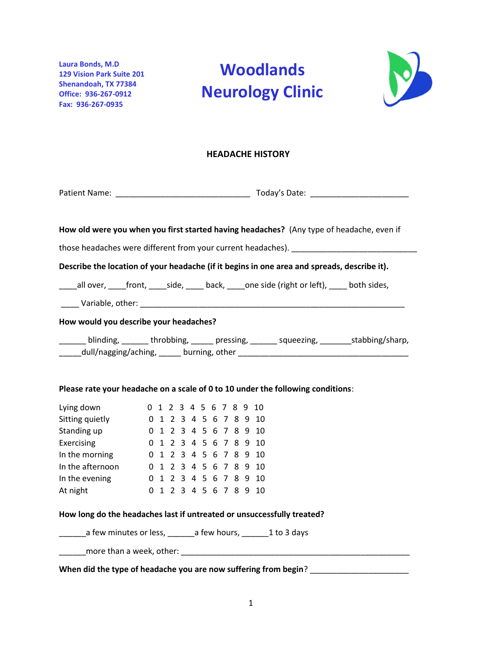Laura Bonds, M.D 129 Vision Park Suite 201 Shenandoah, TX 77384 Office: 936-267-0912 Fax: 936-267-0935

# Woodlands Neurology Clinic



#### HEADACHE HISTORY

|                                                                                                    |                        |  |  |  |  |  |  |  |  |  |                        | How old were you when you first started having headaches? (Any type of headache, even if |
|----------------------------------------------------------------------------------------------------|------------------------|--|--|--|--|--|--|--|--|--|------------------------|------------------------------------------------------------------------------------------|
|                                                                                                    |                        |  |  |  |  |  |  |  |  |  |                        |                                                                                          |
| Describe the location of your headache (if it begins in one area and spreads, describe it).        |                        |  |  |  |  |  |  |  |  |  |                        |                                                                                          |
| _____all over, _____front, _____side, ______back, _____one side (right or left), _____ both sides, |                        |  |  |  |  |  |  |  |  |  |                        |                                                                                          |
|                                                                                                    |                        |  |  |  |  |  |  |  |  |  |                        |                                                                                          |
| How would you describe your headaches?                                                             |                        |  |  |  |  |  |  |  |  |  |                        |                                                                                          |
| ______ blinding, ______ throbbing, _____ pressing, _____ squeezing, ______ stabbing/sharp,         |                        |  |  |  |  |  |  |  |  |  |                        |                                                                                          |
| Please rate your headache on a scale of 0 to 10 under the following conditions:                    |                        |  |  |  |  |  |  |  |  |  |                        |                                                                                          |
| Lying down                                                                                         |                        |  |  |  |  |  |  |  |  |  | 0 1 2 3 4 5 6 7 8 9 10 |                                                                                          |
| Sitting quietly 0 1 2 3 4 5 6 7 8 9 10                                                             |                        |  |  |  |  |  |  |  |  |  |                        |                                                                                          |
| Standing up                                                                                        | 0 1 2 3 4 5 6 7 8 9 10 |  |  |  |  |  |  |  |  |  |                        |                                                                                          |
| Exercising                                                                                         | 0 1 2 3 4 5 6 7 8 9 10 |  |  |  |  |  |  |  |  |  |                        |                                                                                          |
| In the morning 0 1 2 3 4 5 6 7 8 9 10                                                              |                        |  |  |  |  |  |  |  |  |  |                        |                                                                                          |
| In the afternoon 0 1 2 3 4 5 6 7 8 9 10                                                            |                        |  |  |  |  |  |  |  |  |  |                        |                                                                                          |
| In the evening                                                                                     | 0 1 2 3 4 5 6 7 8 9 10 |  |  |  |  |  |  |  |  |  |                        |                                                                                          |
| At night                                                                                           |                        |  |  |  |  |  |  |  |  |  | 0 1 2 3 4 5 6 7 8 9 10 |                                                                                          |
| How long do the headaches last if untreated or unsuccessfully treated?                             |                        |  |  |  |  |  |  |  |  |  |                        |                                                                                          |
| ________ a few minutes or less, _______ a few hours, ________ 1 to 3 days                          |                        |  |  |  |  |  |  |  |  |  |                        |                                                                                          |
|                                                                                                    |                        |  |  |  |  |  |  |  |  |  |                        |                                                                                          |
| When did the type of headache you are now suffering from begin?                                    |                        |  |  |  |  |  |  |  |  |  |                        |                                                                                          |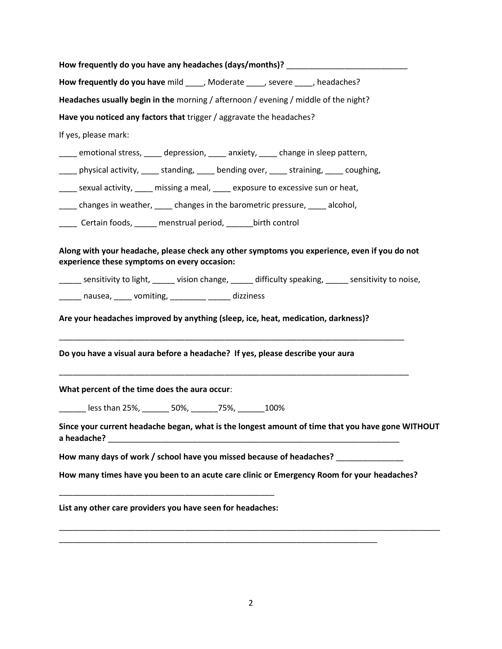| How frequently do you have any headaches (days/months)? ________________________                                                             |  |  |  |  |  |  |
|----------------------------------------------------------------------------------------------------------------------------------------------|--|--|--|--|--|--|
| How frequently do you have mild _____, Moderate _____, severe ____, headaches?                                                               |  |  |  |  |  |  |
| Headaches usually begin in the morning / afternoon / evening / middle of the night?                                                          |  |  |  |  |  |  |
| Have you noticed any factors that trigger / aggravate the headaches?                                                                         |  |  |  |  |  |  |
| If yes, please mark:                                                                                                                         |  |  |  |  |  |  |
| emotional stress, ____ depression, ____ anxiety, ____ change in sleep pattern,                                                               |  |  |  |  |  |  |
| _____ physical activity, _____ standing, _____ bending over, _____ straining, _____ coughing,                                                |  |  |  |  |  |  |
| ____ sexual activity, ____ missing a meal, ____ exposure to excessive sun or heat,                                                           |  |  |  |  |  |  |
| _____ changes in weather, _____ changes in the barometric pressure, _____ alcohol,                                                           |  |  |  |  |  |  |
| Lacker Certain foods, Lacker menstrual period, Lacker Linth control                                                                          |  |  |  |  |  |  |
| Along with your headache, please check any other symptoms you experience, even if you do not<br>experience these symptoms on every occasion: |  |  |  |  |  |  |
| ______ sensitivity to light, ______ vision change, ______ difficulty speaking, ______ sensitivity to noise,                                  |  |  |  |  |  |  |
| ______ nausea, _____ vomiting, _________ _____ dizziness                                                                                     |  |  |  |  |  |  |
| Are your headaches improved by anything (sleep, ice, heat, medication, darkness)?                                                            |  |  |  |  |  |  |
| Do you have a visual aura before a headache? If yes, please describe your aura                                                               |  |  |  |  |  |  |
| What percent of the time does the aura occur:                                                                                                |  |  |  |  |  |  |
| Lackstran 25%, 2006, 2006, 2007, 2008                                                                                                        |  |  |  |  |  |  |
| Since your current headache began, what is the longest amount of time that you have gone WITHOUT                                             |  |  |  |  |  |  |
| How many days of work / school have you missed because of headaches?                                                                         |  |  |  |  |  |  |
| How many times have you been to an acute care clinic or Emergency Room for your headaches?                                                   |  |  |  |  |  |  |
| List any other care providers you have seen for headaches:                                                                                   |  |  |  |  |  |  |
|                                                                                                                                              |  |  |  |  |  |  |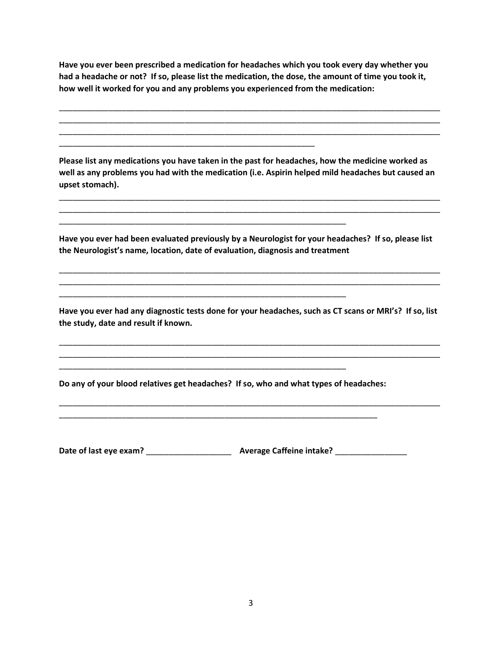Have you ever been prescribed a medication for headaches which you took every day whether you had a headache or not? If so, please list the medication, the dose, the amount of time you took it, how well it worked for you and any problems you experienced from the medication:

\_\_\_\_\_\_\_\_\_\_\_\_\_\_\_\_\_\_\_\_\_\_\_\_\_\_\_\_\_\_\_\_\_\_\_\_\_\_\_\_\_\_\_\_\_\_\_\_\_\_\_\_\_\_\_\_\_\_\_\_\_\_\_\_\_\_\_\_\_\_\_\_\_\_\_\_\_\_\_\_\_\_\_\_\_ \_\_\_\_\_\_\_\_\_\_\_\_\_\_\_\_\_\_\_\_\_\_\_\_\_\_\_\_\_\_\_\_\_\_\_\_\_\_\_\_\_\_\_\_\_\_\_\_\_\_\_\_\_\_\_\_\_\_\_\_\_\_\_\_\_\_\_\_\_\_\_\_\_\_\_\_\_\_\_\_\_\_\_\_\_ \_\_\_\_\_\_\_\_\_\_\_\_\_\_\_\_\_\_\_\_\_\_\_\_\_\_\_\_\_\_\_\_\_\_\_\_\_\_\_\_\_\_\_\_\_\_\_\_\_\_\_\_\_\_\_\_\_\_\_\_\_\_\_\_\_\_\_\_\_\_\_\_\_\_\_\_\_\_\_\_\_\_\_\_\_

Please list any medications you have taken in the past for headaches, how the medicine worked as well as any problems you had with the medication (i.e. Aspirin helped mild headaches but caused an upset stomach).

\_\_\_\_\_\_\_\_\_\_\_\_\_\_\_\_\_\_\_\_\_\_\_\_\_\_\_\_\_\_\_\_\_\_\_\_\_\_\_\_\_\_\_\_\_\_\_\_\_\_\_\_\_\_\_\_\_\_\_\_\_\_\_\_\_\_\_\_\_\_\_\_\_\_\_\_\_\_\_\_\_\_\_\_\_ \_\_\_\_\_\_\_\_\_\_\_\_\_\_\_\_\_\_\_\_\_\_\_\_\_\_\_\_\_\_\_\_\_\_\_\_\_\_\_\_\_\_\_\_\_\_\_\_\_\_\_\_\_\_\_\_\_\_\_\_\_\_\_\_\_\_\_\_\_\_\_\_\_\_\_\_\_\_\_\_\_\_\_\_\_

\_\_\_\_\_\_\_\_\_\_\_\_\_\_\_\_\_\_\_\_\_\_\_\_\_\_\_\_\_\_\_\_\_\_\_\_\_\_\_\_\_\_\_\_\_\_\_\_\_\_\_\_\_\_\_\_\_

\_\_\_\_\_\_\_\_\_\_\_\_\_\_\_\_\_\_\_\_\_\_\_\_\_\_\_\_\_\_\_\_\_\_\_\_\_\_\_\_\_\_\_\_\_\_\_\_\_\_\_\_\_\_\_\_\_\_\_\_\_\_\_\_

\_\_\_\_\_\_\_\_\_\_\_\_\_\_\_\_\_\_\_\_\_\_\_\_\_\_\_\_\_\_\_\_\_\_\_\_\_\_\_\_\_\_\_\_\_\_\_\_\_\_\_\_\_\_\_\_\_\_\_\_\_\_\_\_

\_\_\_\_\_\_\_\_\_\_\_\_\_\_\_\_\_\_\_\_\_\_\_\_\_\_\_\_\_\_\_\_\_\_\_\_\_\_\_\_\_\_\_\_\_\_\_\_\_\_\_\_\_\_\_\_\_\_\_\_\_\_\_\_

Have you ever had been evaluated previously by a Neurologist for your headaches? If so, please list the Neurologist's name, location, date of evaluation, diagnosis and treatment

\_\_\_\_\_\_\_\_\_\_\_\_\_\_\_\_\_\_\_\_\_\_\_\_\_\_\_\_\_\_\_\_\_\_\_\_\_\_\_\_\_\_\_\_\_\_\_\_\_\_\_\_\_\_\_\_\_\_\_\_\_\_\_\_\_\_\_\_\_\_\_\_\_\_\_\_\_\_\_\_\_\_\_\_\_ \_\_\_\_\_\_\_\_\_\_\_\_\_\_\_\_\_\_\_\_\_\_\_\_\_\_\_\_\_\_\_\_\_\_\_\_\_\_\_\_\_\_\_\_\_\_\_\_\_\_\_\_\_\_\_\_\_\_\_\_\_\_\_\_\_\_\_\_\_\_\_\_\_\_\_\_\_\_\_\_\_\_\_\_\_

Have you ever had any diagnostic tests done for your headaches, such as CT scans or MRI's? If so, list the study, date and result if known.

\_\_\_\_\_\_\_\_\_\_\_\_\_\_\_\_\_\_\_\_\_\_\_\_\_\_\_\_\_\_\_\_\_\_\_\_\_\_\_\_\_\_\_\_\_\_\_\_\_\_\_\_\_\_\_\_\_\_\_\_\_\_\_\_\_\_\_\_\_\_\_\_\_\_\_\_\_\_\_\_\_\_\_\_\_ \_\_\_\_\_\_\_\_\_\_\_\_\_\_\_\_\_\_\_\_\_\_\_\_\_\_\_\_\_\_\_\_\_\_\_\_\_\_\_\_\_\_\_\_\_\_\_\_\_\_\_\_\_\_\_\_\_\_\_\_\_\_\_\_\_\_\_\_\_\_\_\_\_\_\_\_\_\_\_\_\_\_\_\_\_

\_\_\_\_\_\_\_\_\_\_\_\_\_\_\_\_\_\_\_\_\_\_\_\_\_\_\_\_\_\_\_\_\_\_\_\_\_\_\_\_\_\_\_\_\_\_\_\_\_\_\_\_\_\_\_\_\_\_\_\_\_\_\_\_\_\_\_\_\_\_\_\_\_\_\_\_\_\_\_\_\_\_\_\_\_

Do any of your blood relatives get headaches? If so, who and what types of headaches:

\_\_\_\_\_\_\_\_\_\_\_\_\_\_\_\_\_\_\_\_\_\_\_\_\_\_\_\_\_\_\_\_\_\_\_\_\_\_\_\_\_\_\_\_\_\_\_\_\_\_\_\_\_\_\_\_\_\_\_\_\_\_\_\_\_\_\_\_\_\_\_

Date of last eye exam? \_\_\_\_\_\_\_\_\_\_\_\_\_\_\_\_\_\_\_ Average Caffeine intake? \_\_\_\_\_\_\_\_\_\_\_\_\_\_\_\_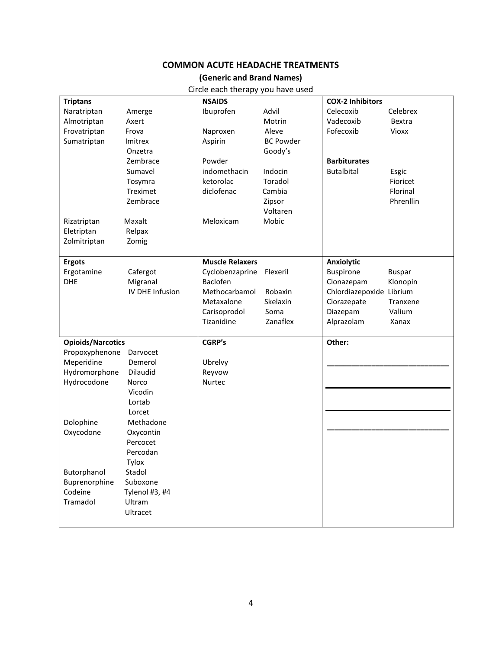## **COMMON ACUTE HEADACHE TREATMENTS**

#### (Generic and Brand Names)

Circle each therapy you have used

| <b>Triptans</b>          |                 | <b>NSAIDS</b>          |                  | <b>COX-2 Inhibitors</b>  |               |
|--------------------------|-----------------|------------------------|------------------|--------------------------|---------------|
| Naratriptan              | Amerge          | Ibuprofen              | Advil            | Celecoxib                | Celebrex      |
| Almotriptan              | Axert           |                        | Motrin           | Vadecoxib                | Bextra        |
| Frovatriptan             | Frova           | Naproxen               | Aleve            | Fofecoxib                | <b>Vioxx</b>  |
| Sumatriptan              | Imitrex         | Aspirin                | <b>BC Powder</b> |                          |               |
|                          | Onzetra         |                        | Goody's          |                          |               |
|                          | Zembrace        | Powder                 |                  | <b>Barbiturates</b>      |               |
|                          | Sumavel         | indomethacin           | Indocin          | <b>Butalbital</b>        | Esgic         |
|                          | Tosymra         | ketorolac              | Toradol          |                          | Fioricet      |
|                          | Treximet        | diclofenac             | Cambia           |                          | Florinal      |
|                          | Zembrace        |                        | Zipsor           |                          | Phrenllin     |
|                          |                 |                        | Voltaren         |                          |               |
| Rizatriptan              | Maxalt          | Meloxicam              | Mobic            |                          |               |
| Eletriptan               | Relpax          |                        |                  |                          |               |
| Zolmitriptan             | Zomig           |                        |                  |                          |               |
|                          |                 |                        |                  |                          |               |
| <b>Ergots</b>            |                 | <b>Muscle Relaxers</b> |                  | <b>Anxiolytic</b>        |               |
| Ergotamine               | Cafergot        | Cyclobenzaprine        | Flexeril         | <b>Buspirone</b>         | <b>Buspar</b> |
| <b>DHE</b>               | Migranal        | Baclofen               |                  | Clonazepam               | Klonopin      |
|                          | IV DHE Infusion | Methocarbamol          | Robaxin          | Chlordiazepoxide Librium |               |
|                          |                 | Metaxalone             | Skelaxin         | Clorazepate              | Tranxene      |
|                          |                 | Carisoprodol           | Soma             | Diazepam                 | Valium        |
|                          |                 | Tizanidine             | Zanaflex         | Alprazolam               | Xanax         |
| <b>Opioids/Narcotics</b> |                 | <b>CGRP's</b>          |                  | Other:                   |               |
| Propoxyphenone           | Darvocet        |                        |                  |                          |               |
| Meperidine               | Demerol         | Ubrelvy                |                  |                          |               |
| Hydromorphone            | Dilaudid        | Reyvow                 |                  |                          |               |
| Hydrocodone              | Norco           | <b>Nurtec</b>          |                  |                          |               |
|                          | Vicodin         |                        |                  |                          |               |
|                          | Lortab          |                        |                  |                          |               |
|                          | Lorcet          |                        |                  |                          |               |
| Dolophine                | Methadone       |                        |                  |                          |               |
| Oxycodone                | Oxycontin       |                        |                  |                          |               |
|                          | Percocet        |                        |                  |                          |               |
|                          | Percodan        |                        |                  |                          |               |
|                          | Tylox           |                        |                  |                          |               |
| Butorphanol              | Stadol          |                        |                  |                          |               |
| Buprenorphine            | Suboxone        |                        |                  |                          |               |
| Codeine                  | Tylenol #3, #4  |                        |                  |                          |               |
| Tramadol                 | Ultram          |                        |                  |                          |               |
|                          | Ultracet        |                        |                  |                          |               |
|                          |                 |                        |                  |                          |               |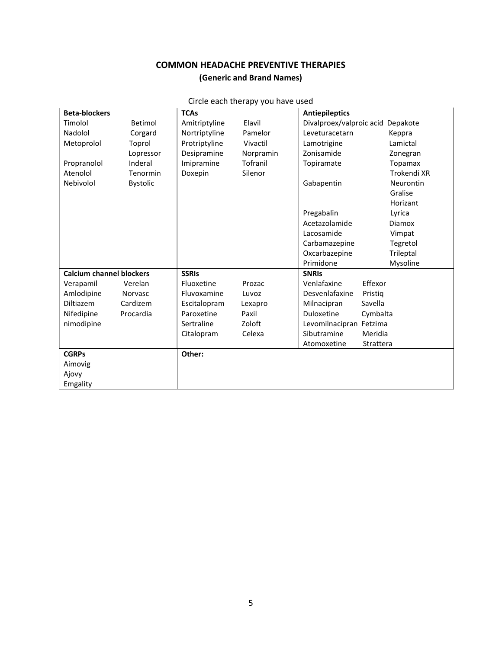# COMMON HEADACHE PREVENTIVE THERAPIES (Generic and Brand Names)

| <b>Beta-blockers</b>            |                 | <b>TCAs</b>             | .                                 | <b>Antiepileptics</b>             |               |
|---------------------------------|-----------------|-------------------------|-----------------------------------|-----------------------------------|---------------|
| Timolol                         | Betimol         | Elavil<br>Amitriptyline |                                   | Divalproex/valproic acid Depakote |               |
| Nadolol                         | Corgard         | Nortriptyline           | Pamelor                           | Leveturacetarn                    | Keppra        |
| Metoprolol                      | Toprol          | Protriptyline           | Vivactil                          | Lamotrigine                       | Lamictal      |
|                                 | Lopressor       | Desipramine             | Norpramin                         | Zonisamide                        | Zonegran      |
| Propranolol                     | Inderal         | Imipramine              | Tofranil                          | Topiramate                        | Topamax       |
| Atenolol                        | Tenormin        | Doxepin                 | Silenor                           |                                   | Trokendi XR   |
| Nebivolol                       | <b>Bystolic</b> |                         |                                   | Gabapentin                        | Neurontin     |
|                                 |                 |                         |                                   |                                   | Gralise       |
|                                 |                 |                         |                                   |                                   | Horizant      |
|                                 |                 |                         |                                   | Pregabalin                        | Lyrica        |
|                                 |                 |                         |                                   | Acetazolamide                     | <b>Diamox</b> |
|                                 |                 |                         |                                   | Lacosamide                        | Vimpat        |
|                                 |                 |                         |                                   | Carbamazepine                     | Tegretol      |
|                                 |                 |                         |                                   | Oxcarbazepine                     | Trileptal     |
|                                 |                 |                         |                                   | Primidone                         | Mysoline      |
| <b>Calcium channel blockers</b> |                 | <b>SSRIS</b>            |                                   | <b>SNRIS</b>                      |               |
| Verapamil                       | Verelan         | Fluoxetine              | Prozac                            | Venlafaxine<br>Effexor            |               |
| Amlodipine                      | Norvasc         | Fluvoxamine             | Luvoz                             | Desvenlafaxine<br>Pristig         |               |
| Diltiazem                       | Cardizem        | Escitalopram            | Lexapro                           | Savella<br>Milnacipran            |               |
| Nifedipine                      | Procardia       | Paroxetine              | Paxil                             | Duloxetine<br>Cymbalta            |               |
| nimodipine                      |                 | Sertraline              | Zoloft<br>Levomilnacipran Fetzima |                                   |               |
|                                 |                 | Citalopram              | Celexa                            | Sibutramine<br>Meridia            |               |
|                                 |                 |                         |                                   | Atomoxetine<br>Strattera          |               |
| <b>CGRPs</b>                    |                 | Other:                  |                                   |                                   |               |
| Aimovig                         |                 |                         |                                   |                                   |               |
| Ajovy                           |                 |                         |                                   |                                   |               |
| Emgality                        |                 |                         |                                   |                                   |               |

### Circle each therapy you have used